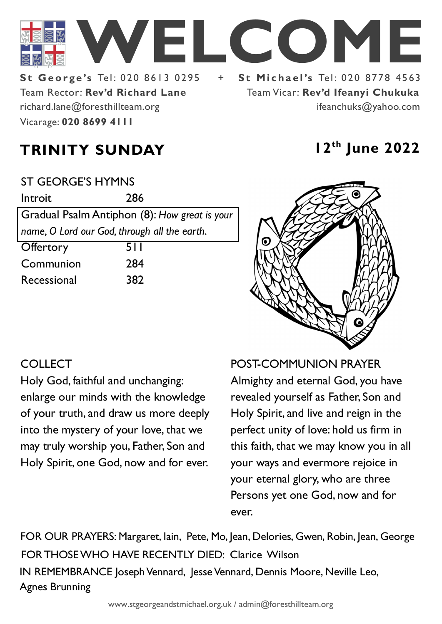

Team Rector: **Rev'd Richard Lane St George's Tel: 020 8613 0295** Vicarage: **020 8699 4111**  richard.lane@foresthillteam.org

Team Vicar: **Rev'd Ifeanyi Chukuka** ifeanchuks@yahoo.com

# **TRINITY SUNDAY 12th June 2022**

#### ST GEORGE'S HYMNS

Introit 286 Gradual Psalm Antiphon (8): *How great is your name, O Lord our God, through all the earth.* 

| 5 I I |
|-------|
| 284   |
| 382   |
|       |



### **COLLECT**

Holy God, faithful and unchanging: enlarge our minds with the knowledge of your truth, and draw us more deeply into the mystery of your love, that we may truly worship you, Father, Son and Holy Spirit, one God, now and for ever.

POST-COMMUNION PRAYER Almighty and eternal God, you have revealed yourself as Father, Son and Holy Spirit, and live and reign in the perfect unity of love: hold us firm in this faith, that we may know you in all your ways and evermore rejoice in your eternal glory, who are three Persons yet one God, now and for ever.

IN REMEMBRANCE Joseph Vennard, Jesse Vennard, Dennis Moore, Neville Leo, Agnes Brunning FOR THOSE WHO HAVE RECENTLY DIED: Clarice Wilson FOR OUR PRAYERS: Margaret, Iain, Pete, Mo, Jean, Delories, Gwen, Robin, Jean, George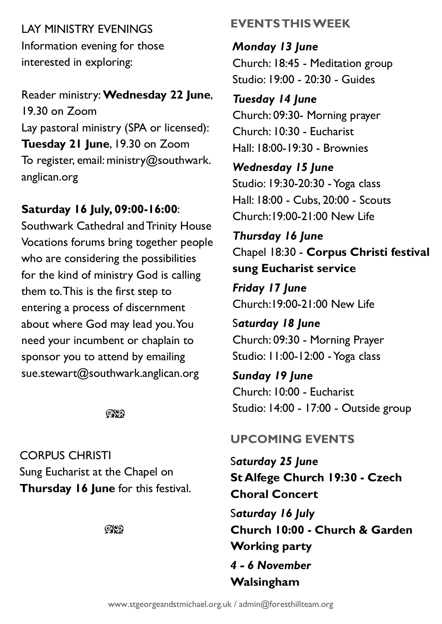LAY MINISTRY EVENINGS Information evening for those interested in exploring:

Reader ministry: **Wednesday 22 June**, 19.30 on Zoom Lay pastoral ministry (SPA or licensed): **Tuesday 21 June**, 19.30 on Zoom To register, email: ministry@southwark. anglican.org

#### **Saturday 16 July, 09:00-16:00**:

Southwark Cathedral and Trinity House Vocations forums bring together people who are considering the possibilities for the kind of ministry God is calling them to. This is the first step to entering a process of discernment about where God may lead you. You need your incumbent or chaplain to sponsor you to attend by emailing sue.stewart@southwark.anglican.org

 $QX$ 

CORPUS CHRISTI Sung Eucharist at the Chapel on **Thursday 16 June** for this festival.

 $\mathbb{C}\mathbb{C}$ 

#### **EVENTS THIS WEEK**

*Monday 13 June* Church: 18:45 - Meditation group Studio: 19:00 - 20:30 - Guides

# *Tuesday 14 June*

Church: 09:30- Morning prayer Church: 10:30 - Eucharist Hall: 18:00-19:30 - Brownies

*Wednesday 15 June* Studio: 19:30-20:30 -Yoga class Hall: 18:00 - Cubs, 20:00 - Scouts Church:19:00-21:00 New Life

*Thursday 16 June* Chapel 18:30 - **Corpus Christi festival sung Eucharist service**

*Friday 17 June* Church:19:00-21:00 New Life

S*aturday 18 June* Church: 09:30 - Morning Prayer Studio: 11:00-12:00 -Yoga class

*Sunday 19 June* Church: 10:00 - Eucharist Studio: 14:00 - 17:00 - Outside group

# **UPCOMING EVENTS**

S*aturday 25 June* **St Alfege Church 19:30 - Czech Choral Concert** S*aturday 16 July* **Church 10:00 - Church & Garden Working party** *4 - 6 November*  **Walsingham**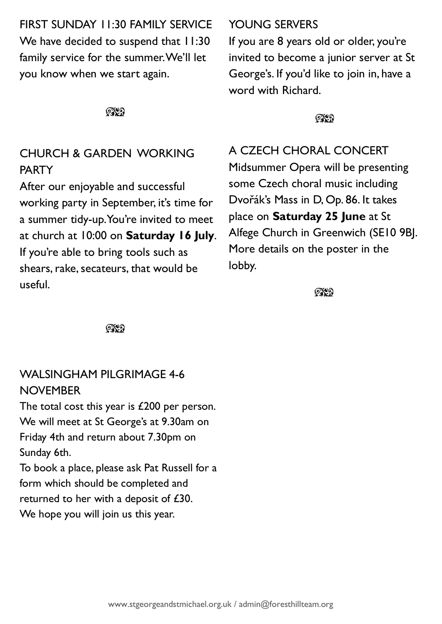FIRST SUNDAY 11:30 FAMILY SERVICE We have decided to suspend that 11:30 family service for the summer. We'll let you know when we start again.

೧೪೧

## CHURCH & GARDEN WORKING **PARTY**

After our enjoyable and successful working party in September, it's time for a summer tidy-up. You're invited to meet at church at 10:00 on **Saturday 16 July**. If you're able to bring tools such as shears, rake, secateurs, that would be useful.

#### YOUNG SERVERS

If you are 8 years old or older, you're invited to become a junior server at St George's. If you'd like to join in, have a word with Richard.

**OXO** 

A CZECH CHORAL CONCERT

Midsummer Opera will be presenting some Czech choral music including Dvořák's Mass in D, Op. 86. It takes place on **Saturday 25 June** at St Alfege Church in Greenwich (SE10 9BJ. More details on the poster in the lobby.

 $\mathbb{C}\mathbb{C}$ 

೧೪೧

# WALSINGHAM PILGRIMAGE 4-6 **NOVEMBER**

The total cost this year is £200 per person. We will meet at St George's at 9.30am on Friday 4th and return about 7.30pm on Sunday 6th. To book a place, please ask Pat Russell for a form which should be completed and returned to her with a deposit of £30. We hope you will join us this year.